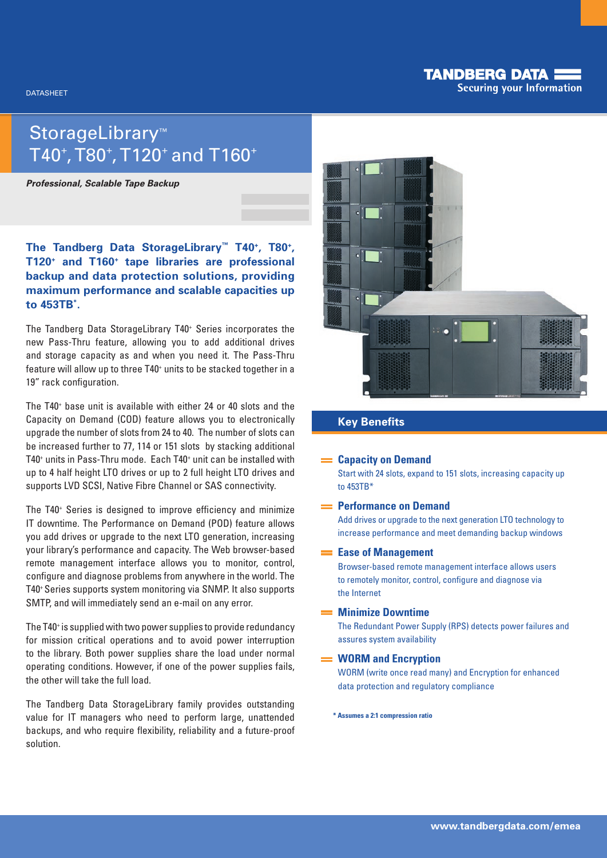## **TANDBERG DATA: Securing your Information**

# StorageLibrary™  $T$ 40 $^{\circ}$ ,  $T$ 80 $^{\circ}$ ,  $T$ 120 $^{\circ}$  and  $T$ 160 $^{\circ}$

*Professional, Scalable Tape Backup*

## **The Tandberg Data StorageLibrary™ T40+, T80+, T120+ and T160+ tape libraries are professional backup and data protection solutions, providing maximum performance and scalable capacities up to 453TB\* .**

The Tandberg Data StorageLibrary T40+ Series incorporates the new Pass-Thru feature, allowing you to add additional drives and storage capacity as and when you need it. The Pass-Thru feature will allow up to three T40<sup>+</sup> units to be stacked together in a 19" rack configuration.

The T40+ base unit is available with either 24 or 40 slots and the Capacity on Demand (COD) feature allows you to electronically upgrade the number of slots from 24 to 40. The number of slots can be increased further to 77, 114 or 151 slots by stacking additional T40<sup>+</sup> units in Pass-Thru mode. Each T40<sup>+</sup> unit can be installed with up to 4 half height LTO drives or up to 2 full height LTO drives and supports LVD SCSI, Native Fibre Channel or SAS connectivity.

The T40+ Series is designed to improve efficiency and minimize IT downtime. The Performance on Demand (POD) feature allows you add drives or upgrade to the next LTO generation, increasing your library's performance and capacity. The Web browser-based remote management interface allows you to monitor, control, configure and diagnose problems from anywhere in the world. The T40+ Series supports system monitoring via SNMP. It also supports SMTP, and will immediately send an e-mail on any error.

The T40<sup>+</sup> is supplied with two power supplies to provide redundancy for mission critical operations and to avoid power interruption to the library. Both power supplies share the load under normal operating conditions. However, if one of the power supplies fails, the other will take the full load.

The Tandberg Data StorageLibrary family provides outstanding value for IT managers who need to perform large, unattended backups, and who require flexibility, reliability and a future-proof solution.



## **Key Benefits**

#### **Capacity on Demand**

Start with 24 slots, expand to 151 slots, increasing capacity up to 453TB\*

#### **Performance on Demand**

Add drives or upgrade to the next generation LTO technology to increase performance and meet demanding backup windows

## **Ease of Management**

Browser-based remote management interface allows users to remotely monitor, control, configure and diagnose via the Internet

## **Minimize Downtime**

The Redundant Power Supply (RPS) detects power failures and assures system availability

### **WORM and Encryption**

WORM (write once read many) and Encryption for enhanced data protection and regulatory compliance

**\* Assumes a 2:1 compression ratio**